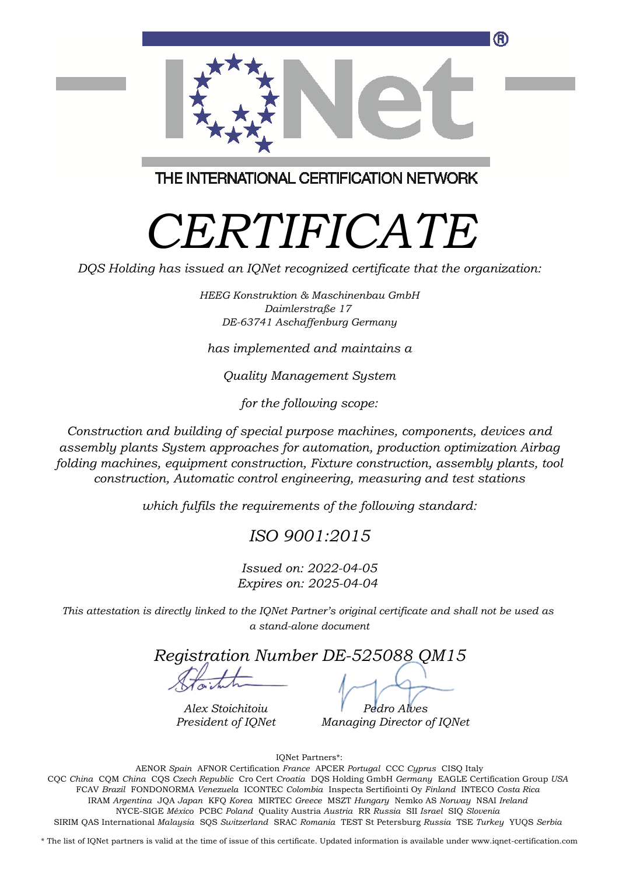

THE INTERNATIONAL CERTIFICATION NETWORK

## *CERTIFICATE*

*DQS Holding has issued an IQNet recognized certificate that the organization:*

*HEEG Konstruktion & Maschinenbau GmbH Daimlerstraße 17 DE-63741 Aschaffenburg Germany*

*has implemented and maintains a*

*Quality Management System*

*for the following scope:*

*Construction and building of special purpose machines, components, devices and assembly plants System approaches for automation, production optimization Airbag folding machines, equipment construction, Fixture construction, assembly plants, tool construction, Automatic control engineering, measuring and test stations*

*which fulfils the requirements of the following standard:*

## *ISO 9001:2015*

*Issued on: 2022-04-05 Expires on: 2025-04-04*

*This attestation is directly linked to the IQNet Partner's original certificate and shall not be used as a stand-alone document*

*Registration Number DE-525088 QM15*

*Alex Stoichitoiu President of IQNet*

*Pedro Alves Managing Director of IQNet*

IQNet Partners\*:

This annex is only valid in connection with the above-mentioned certificate. FCAV *Brazil* FONDONORMA *Venezuela* ICONTEC *Colombia* Inspecta Sertifiointi Oy *Finland* INTECO *Costa Rica* AENOR *Spain* AFNOR Certification *France* APCER *Portugal* CCC *Cyprus* CISQ Italy CQC *China* CQM *China* CQS *Czech Republic* Cro Cert *Croatia* DQS Holding GmbH *Germany* EAGLE Certification Group *USA* IRAM *Argentina* JQA *Japan* KFQ *Korea* MIRTEC *Greece* MSZT *Hungary* Nemko AS *Norway* NSAI *Ireland* NYCE-SIGE *México* PCBC *Poland* Quality Austria *Austria* RR *Russia* SII *Israel* SIQ *Slovenia* SIRIM QAS International *Malaysia* SQS *Switzerland* SRAC *Romania* TEST St Petersburg *Russia* TSE *Turkey* YUQS *Serbia*

\* The list of IQNet partners is valid at the time of issue of this certificate. Updated information is available under www.iqnet-certification.com